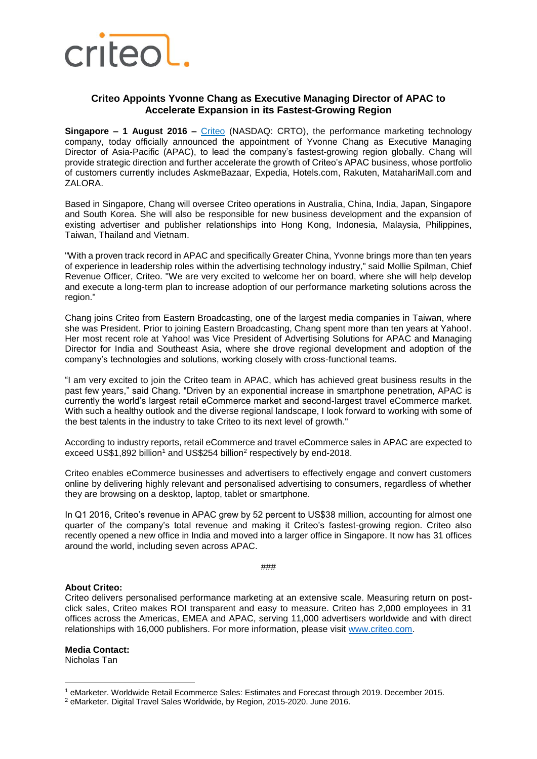

## **Criteo Appoints Yvonne Chang as Executive Managing Director of APAC to Accelerate Expansion in its Fastest-Growing Region**

**Singapore – 1 August 2016 –** [Criteo](http://www.criteo.com/) (NASDAQ: CRTO), the performance marketing technology company, today officially announced the appointment of Yvonne Chang as Executive Managing Director of Asia-Pacific (APAC), to lead the company's fastest-growing region globally. Chang will provide strategic direction and further accelerate the growth of Criteo's APAC business, whose portfolio of customers currently includes AskmeBazaar, Expedia, Hotels.com, Rakuten, MatahariMall.com and ZALORA.

Based in Singapore, Chang will oversee Criteo operations in Australia, China, India, Japan, Singapore and South Korea. She will also be responsible for new business development and the expansion of existing advertiser and publisher relationships into Hong Kong, Indonesia, Malaysia, Philippines, Taiwan, Thailand and Vietnam.

"With a proven track record in APAC and specifically Greater China, Yvonne brings more than ten years of experience in leadership roles within the advertising technology industry," said Mollie Spilman, Chief Revenue Officer, Criteo. "We are very excited to welcome her on board, where she will help develop and execute a long-term plan to increase adoption of our performance marketing solutions across the region."

Chang joins Criteo from Eastern Broadcasting, one of the largest media companies in Taiwan, where she was President. Prior to joining Eastern Broadcasting, Chang spent more than ten years at Yahoo!. Her most recent role at Yahoo! was Vice President of Advertising Solutions for APAC and Managing Director for [India and Southeast Asia,](https://www.linkedin.com/title/vp%2C-apac-advertising-solutions-%2F-md%2C-india-and-southeast-asia?trk=mprofile_title) where she drove regional development and adoption of the company's technologies and solutions, working closely with cross-functional teams.

"I am very excited to join the Criteo team in APAC, which has achieved great business results in the past few years," said Chang. "Driven by an exponential increase in smartphone penetration, APAC is currently the world's largest retail eCommerce market and second-largest travel eCommerce market. With such a healthy outlook and the diverse regional landscape, I look forward to working with some of the best talents in the industry to take Criteo to its next level of growth."

According to industry reports, retail eCommerce and travel eCommerce sales in APAC are expected to exceed US\$1,892 billion<sup>1</sup> and US\$254 billion<sup>2</sup> respectively by end-2018.

Criteo enables eCommerce businesses and advertisers to effectively engage and convert customers online by delivering highly relevant and personalised advertising to consumers, regardless of whether they are browsing on a desktop, laptop, tablet or smartphone.

In Q1 2016, Criteo's revenue in APAC grew by 52 percent to US\$38 million, accounting for almost one quarter of the company's total revenue and making it Criteo's fastest-growing region. Criteo also recently opened a new office in India and moved into a larger office in Singapore. It now has 31 offices around the world, including seven across APAC.

###

## **About Criteo:**

Criteo delivers personalised performance marketing at an extensive scale. Measuring return on postclick sales, Criteo makes ROI transparent and easy to measure. Criteo has 2,000 employees in 31 offices across the Americas, EMEA and APAC, serving 11,000 advertisers worldwide and with direct relationships with 16,000 publishers. For more information, please visit [www.criteo.com.](http://www.criteo.com/)

**Media Contact:** Nicholas Tan

1

<sup>1</sup> eMarketer. Worldwide Retail Ecommerce Sales: Estimates and Forecast through 2019. December 2015.

<sup>2</sup> eMarketer. Digital Travel Sales Worldwide, by Region, 2015-2020. June 2016.